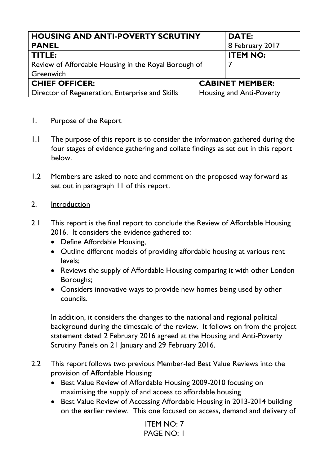| <b>HOUSING AND ANTI-POVERTY SCRUTINY</b>             |  | <b>DATE:</b>             |
|------------------------------------------------------|--|--------------------------|
| <b>PANEL</b>                                         |  | 8 February 2017          |
| TITLE:                                               |  | <b>ITEM NO:</b>          |
| Review of Affordable Housing in the Royal Borough of |  |                          |
| Greenwich                                            |  |                          |
| <b>CHIEF OFFICER:</b>                                |  | <b>CABINET MEMBER:</b>   |
| Director of Regeneration, Enterprise and Skills      |  | Housing and Anti-Poverty |

#### 1. Purpose of the Report

- 1.1 The purpose of this report is to consider the information gathered during the four stages of evidence gathering and collate findings as set out in this report below.
- 1.2 Members are asked to note and comment on the proposed way forward as set out in paragraph 11 of this report.
- 2. Introduction
- 2.1 This report is the final report to conclude the Review of Affordable Housing 2016. It considers the evidence gathered to:
	- Define Affordable Housing,
	- Outline different models of providing affordable housing at various rent levels;
	- Reviews the supply of Affordable Housing comparing it with other London Boroughs;
	- Considers innovative ways to provide new homes being used by other councils.

In addition, it considers the changes to the national and regional political background during the timescale of the review. It follows on from the project statement dated 2 February 2016 agreed at the Housing and Anti-Poverty Scrutiny Panels on 21 January and 29 February 2016.

- 2.2 This report follows two previous Member-led Best Value Reviews into the provision of Affordable Housing:
	- Best Value Review of Affordable Housing 2009-2010 focusing on maximising the supply of and access to affordable housing
	- Best Value Review of Accessing Affordable Housing in 2013-2014 building on the earlier review. This one focused on access, demand and delivery of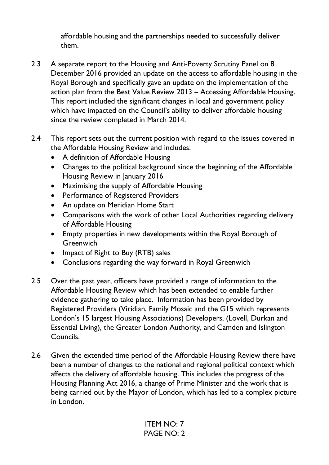affordable housing and the partnerships needed to successfully deliver them.

- 2.3 A separate report to the Housing and Anti-Poverty Scrutiny Panel on 8 December 2016 provided an update on the access to affordable housing in the Royal Borough and specifically gave an update on the implementation of the action plan from the Best Value Review 2013 – Accessing Affordable Housing. This report included the significant changes in local and government policy which have impacted on the Council's ability to deliver affordable housing since the review completed in March 2014.
- 2.4 This report sets out the current position with regard to the issues covered in the Affordable Housing Review and includes:
	- A definition of Affordable Housing
	- Changes to the political background since the beginning of the Affordable Housing Review in January 2016
	- Maximising the supply of Affordable Housing
	- Performance of Registered Providers
	- An update on Meridian Home Start
	- Comparisons with the work of other Local Authorities regarding delivery of Affordable Housing
	- Empty properties in new developments within the Royal Borough of **Greenwich**
	- Impact of Right to Buy (RTB) sales
	- Conclusions regarding the way forward in Royal Greenwich
- 2.5 Over the past year, officers have provided a range of information to the Affordable Housing Review which has been extended to enable further evidence gathering to take place. Information has been provided by Registered Providers (Viridian, Family Mosaic and the G15 which represents London's 15 largest Housing Associations) Developers, (Lovell, Durkan and Essential Living), the Greater London Authority, and Camden and Islington Councils.
- 2.6 Given the extended time period of the Affordable Housing Review there have been a number of changes to the national and regional political context which affects the delivery of affordable housing. This includes the progress of the Housing Planning Act 2016, a change of Prime Minister and the work that is being carried out by the Mayor of London, which has led to a complex picture in London.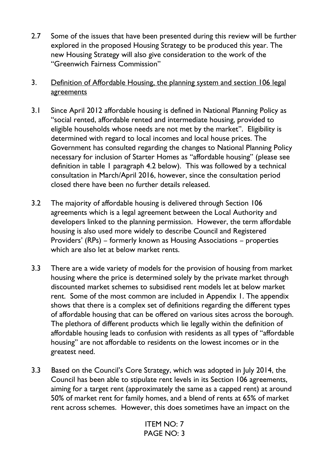- 2.7 Some of the issues that have been presented during this review will be further explored in the proposed Housing Strategy to be produced this year. The new Housing Strategy will also give consideration to the work of the "Greenwich Fairness Commission"
- 3. Definition of Affordable Housing, the planning system and section 106 legal agreements
- 3.1 Since April 2012 affordable housing is defined in National Planning Policy as "social rented, affordable rented and intermediate housing, provided to eligible households whose needs are not met by the market". Eligibility is determined with regard to local incomes and local house prices. The Government has consulted regarding the changes to National Planning Policy necessary for inclusion of Starter Homes as "affordable housing" (please see definition in table 1 paragraph 4.2 below). This was followed by a technical consultation in March/April 2016, however, since the consultation period closed there have been no further details released.
- 3.2 The majority of affordable housing is delivered through Section 106 agreements which is a legal agreement between the Local Authority and developers linked to the planning permission. However, the term affordable housing is also used more widely to describe Council and Registered Providers' (RPs) – formerly known as Housing Associations – properties which are also let at below market rents.
- 3.3 There are a wide variety of models for the provision of housing from market housing where the price is determined solely by the private market through discounted market schemes to subsidised rent models let at below market rent. Some of the most common are included in Appendix 1. The appendix shows that there is a complex set of definitions regarding the different types of affordable housing that can be offered on various sites across the borough. The plethora of different products which lie legally within the definition of affordable housing leads to confusion with residents as all types of "affordable housing" are not affordable to residents on the lowest incomes or in the greatest need.
- 3.3 Based on the Council's Core Strategy, which was adopted in July 2014, the Council has been able to stipulate rent levels in its Section 106 agreements, aiming for a target rent (approximately the same as a capped rent) at around 50% of market rent for family homes, and a blend of rents at 65% of market rent across schemes. However, this does sometimes have an impact on the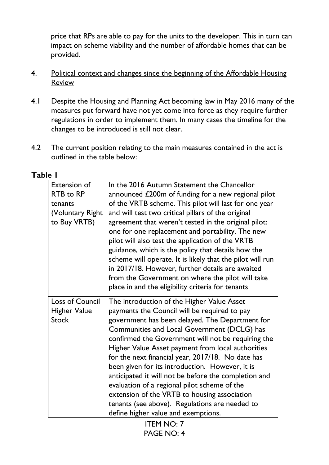price that RPs are able to pay for the units to the developer. This in turn can impact on scheme viability and the number of affordable homes that can be provided.

- 4. Political context and changes since the beginning of the Affordable Housing Review
- 4.1 Despite the Housing and Planning Act becoming law in May 2016 many of the measures put forward have not yet come into force as they require further regulations in order to implement them. In many cases the timeline for the changes to be introduced is still not clear.
- 4.2 The current position relating to the main measures contained in the act is outlined in the table below:

# **Table 1**

| <b>Extension of</b>    | In the 2016 Autumn Statement the Chancellor               |
|------------------------|-----------------------------------------------------------|
| RTB to RP              | announced £200m of funding for a new regional pilot       |
| tenants                | of the VRTB scheme. This pilot will last for one year     |
| (Voluntary Right)      | and will test two critical pillars of the original        |
| to Buy VRTB)           | agreement that weren't tested in the original pilot:      |
|                        | one for one replacement and portability. The new          |
|                        | pilot will also test the application of the VRTB          |
|                        | guidance, which is the policy that details how the        |
|                        | scheme will operate. It is likely that the pilot will run |
|                        | in 2017/18. However, further details are awaited          |
|                        | from the Government on where the pilot will take          |
|                        | place in and the eligibility criteria for tenants         |
| <b>Loss of Council</b> | The introduction of the Higher Value Asset                |
| <b>Higher Value</b>    | payments the Council will be required to pay              |
| <b>Stock</b>           | government has been delayed. The Department for           |
|                        | Communities and Local Government (DCLG) has               |
|                        | confirmed the Government will not be requiring the        |
|                        | Higher Value Asset payment from local authorities         |
|                        | for the next financial year, 2017/18. No date has         |
|                        | been given for its introduction. However, it is           |
|                        | anticipated it will not be before the completion and      |
|                        | evaluation of a regional pilot scheme of the              |
|                        | extension of the VRTB to housing association              |
|                        | tenants (see above). Regulations are needed to            |
|                        | define higher value and exemptions.                       |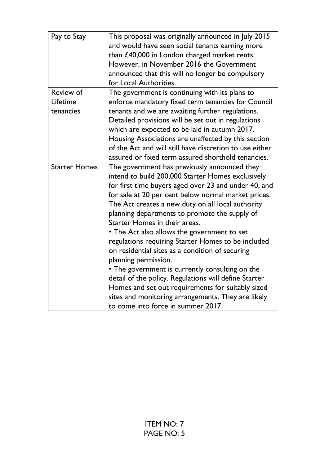| Pay to Stay          | This proposal was originally announced in July 2015     |
|----------------------|---------------------------------------------------------|
|                      | and would have seen social tenants earning more         |
|                      | than £40,000 in London charged market rents.            |
|                      | However, in November 2016 the Government                |
|                      | announced that this will no longer be compulsory        |
|                      | for Local Authorities.                                  |
| <b>Review of</b>     | The government is continuing with its plans to          |
| Lifetime             | enforce mandatory fixed term tenancies for Council      |
| tenancies            | tenants and we are awaiting further regulations.        |
|                      | Detailed provisions will be set out in regulations      |
|                      | which are expected to be laid in autumn 2017.           |
|                      | Housing Associations are unaffected by this section     |
|                      | of the Act and will still have discretion to use either |
|                      | assured or fixed term assured shorthold tenancies.      |
| <b>Starter Homes</b> | The government has previously announced they            |
|                      | intend to build 200,000 Starter Homes exclusively       |
|                      | for first time buyers aged over 23 and under 40, and    |
|                      | for sale at 20 per cent below normal market prices.     |
|                      | The Act creates a new duty on all local authority       |
|                      | planning departments to promote the supply of           |
|                      | Starter Homes in their areas.                           |
|                      | • The Act also allows the government to set             |
|                      | regulations requiring Starter Homes to be included      |
|                      | on residential sites as a condition of securing         |
|                      | planning permission.                                    |
|                      | • The government is currently consulting on the         |
|                      | detail of the policy. Regulations will define Starter   |
|                      | Homes and set out requirements for suitably sized       |
|                      | sites and monitoring arrangements. They are likely      |
|                      | to come into force in summer 2017.                      |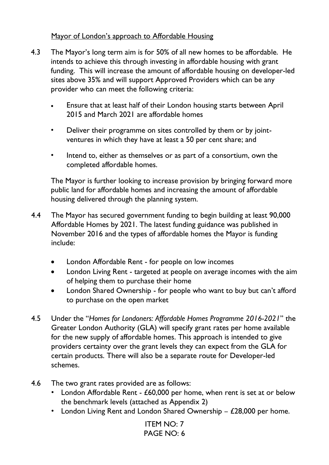# Mayor of London's approach to Affordable Housing

- 4.3 The Mayor's long term aim is for 50% of all new homes to be affordable. He intends to achieve this through investing in affordable housing with grant funding. This will increase the amount of affordable housing on developer-led sites above 35% and will support Approved Providers which can be any provider who can meet the following criteria:
	- Ensure that at least half of their London housing starts between April 2015 and March 2021 are affordable homes
	- Deliver their programme on sites controlled by them or by jointventures in which they have at least a 50 per cent share; and
	- Intend to, either as themselves or as part of a consortium, own the completed affordable homes.

The Mayor is further looking to increase provision by bringing forward more public land for affordable homes and increasing the amount of affordable housing delivered through the planning system.

- 4.4 The Mayor has secured government funding to begin building at least 90,000 Affordable Homes by 2021. The latest funding guidance was published in November 2016 and the types of affordable homes the Mayor is funding include:
	- London Affordable Rent for people on low incomes
	- London Living Rent targeted at people on average incomes with the aim of helping them to purchase their home
	- London Shared Ownership for people who want to buy but can't afford to purchase on the open market
- 4.5 Under the "*Homes for Londoners: Affordable Homes Programme 2016-2021*" the Greater London Authority (GLA) will specify grant rates per home available for the new supply of affordable homes. This approach is intended to give providers certainty over the grant levels they can expect from the GLA for certain products. There will also be a separate route for Developer-led schemes.
- 4.6 The two grant rates provided are as follows:
	- London Affordable Rent £60,000 per home, when rent is set at or below the benchmark levels (attached as Appendix 2)
	- London Living Rent and London Shared Ownership  $-$  £28,000 per home.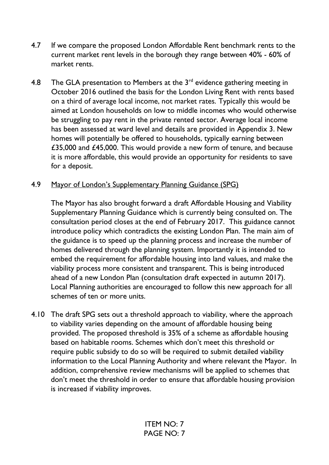- 4.7 If we compare the proposed London Affordable Rent benchmark rents to the current market rent levels in the borough they range between 40% - 60% of market rents.
- 4.8 The GLA presentation to Members at the  $3<sup>rd</sup>$  evidence gathering meeting in October 2016 outlined the basis for the London Living Rent with rents based on a third of average local income, not market rates. Typically this would be aimed at London households on low to middle incomes who would otherwise be struggling to pay rent in the private rented sector. Average local income has been assessed at ward level and details are provided in Appendix 3. New homes will potentially be offered to households, typically earning between £35,000 and £45,000. This would provide a new form of tenure, and because it is more affordable, this would provide an opportunity for residents to save for a deposit.
- 4.9 Mayor of London's Supplementary Planning Guidance (SPG)

The Mayor has also brought forward a draft Affordable Housing and Viability Supplementary Planning Guidance which is currently being consulted on. The consultation period closes at the end of February 2017. This guidance cannot introduce policy which contradicts the existing London Plan. The main aim of the guidance is to speed up the planning process and increase the number of homes delivered through the planning system. Importantly it is intended to embed the requirement for affordable housing into land values, and make the viability process more consistent and transparent. This is being introduced ahead of a new London Plan (consultation draft expected in autumn 2017). Local Planning authorities are encouraged to follow this new approach for all schemes of ten or more units.

4.10 The draft SPG sets out a threshold approach to viability, where the approach to viability varies depending on the amount of affordable housing being provided. The proposed threshold is 35% of a scheme as affordable housing based on habitable rooms. Schemes which don't meet this threshold or require public subsidy to do so will be required to submit detailed viability information to the Local Planning Authority and where relevant the Mayor. In addition, comprehensive review mechanisms will be applied to schemes that don't meet the threshold in order to ensure that affordable housing provision is increased if viability improves.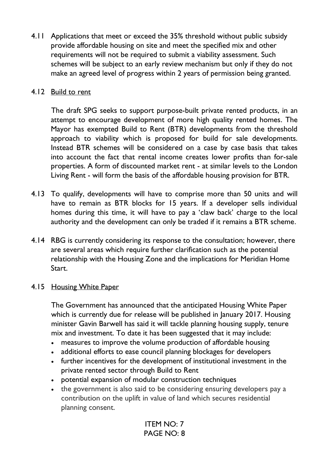4.11 Applications that meet or exceed the 35% threshold without public subsidy provide affordable housing on site and meet the specified mix and other requirements will not be required to submit a viability assessment. Such schemes will be subject to an early review mechanism but only if they do not make an agreed level of progress within 2 years of permission being granted.

#### 4.12 Build to rent

The draft SPG seeks to support purpose-built private rented products, in an attempt to encourage development of more high quality rented homes. The Mayor has exempted Build to Rent (BTR) developments from the threshold approach to viability which is proposed for build for sale developments. Instead BTR schemes will be considered on a case by case basis that takes into account the fact that rental income creates lower profits than for-sale properties. A form of discounted market rent - at similar levels to the London Living Rent - will form the basis of the affordable housing provision for BTR.

- 4.13 To qualify, developments will have to comprise more than 50 units and will have to remain as BTR blocks for 15 years. If a developer sells individual homes during this time, it will have to pay a 'claw back' charge to the local authority and the development can only be traded if it remains a BTR scheme.
- 4.14 RBG is currently considering its response to the consultation; however, there are several areas which require further clarification such as the potential relationship with the Housing Zone and the implications for Meridian Home Start.

## 4.15 Housing White Paper

The Government has announced that the anticipated Housing White Paper which is currently due for release will be published in January 2017. Housing minister Gavin Barwell has said it will tackle planning housing supply, tenure mix and investment. To date it has been suggested that it may include:

- measures to improve the volume production of affordable housing
- additional efforts to ease council planning blockages for developers
- further incentives for the development of institutional investment in the private rented sector through Build to Rent
- potential expansion of modular construction techniques
- the government is also said to be considering ensuring developers pay a contribution on the uplift in value of land which secures residential planning consent.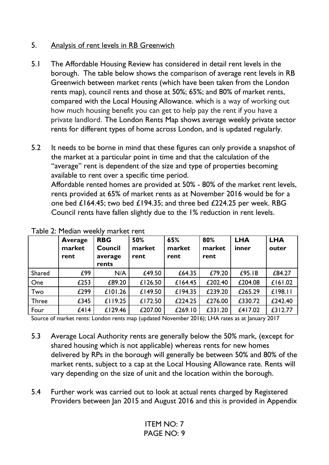# 5. Analysis of rent levels in RB Greenwich

- 5.1 The Affordable Housing Review has considered in detail rent levels in the borough. The table below shows the comparison of average rent levels in RB Greenwich between market rents (which have been taken from the London rents map), council rents and those at 50%; 65%; and 80% of market rents, compared with the Local Housing Allowance. which is a way of working out how much housing benefit you can get to help pay the rent if you have a private landlord. The London Rents Map shows average weekly private sector rents for different types of home across London, and is updated regularly.
- 5.2 It needs to be borne in mind that these figures can only provide a snapshot of the market at a particular point in time and that the calculation of the "average" rent is dependent of the size and type of properties becoming available to rent over a specific time period. Affordable rented homes are provided at 50% - 80% of the market rent levels, rents provided at 65% of market rents as at November 2016 would be for a one bed £164.45; two bed £194.35; and three bed £224.25 per week. RBG Council rents have fallen slightly due to the 1% reduction in rent levels.

|              | Average<br>market<br>rent | <b>RBG</b><br><b>Council</b><br>average<br>rents | 50%<br>market<br>rent | 65%<br>market<br>rent | 80%<br>market<br>rent | <b>LHA</b><br>inner | <b>LHA</b><br>outer |
|--------------|---------------------------|--------------------------------------------------|-----------------------|-----------------------|-----------------------|---------------------|---------------------|
| Shared       | £99                       | N/A                                              | £49.50                | £64.35                | £79.20                | £95.18              | £84.27              |
| One          | £253                      | £89.20                                           | £126.50               | £164.45               | £202.40               | £204.08             | £161.02             |
| Two          | £299                      | £101.26                                          | £149.50               | £194.35               | £239.20               | £265.29             | £198.11             |
| <b>Three</b> | £345                      | £119.25                                          | £172.50               | £224.25               | £276.00               | £330.72             | £242.40             |
| Four         | f414                      | £129.46                                          | £207.00               | £269.10               | £331.20               | £417.02             | £312.77             |

Table 2: Median weekly market rent

Source of market rents: London rents map (updated November 2016); LHA rates as at January 2017

- 5.3 Average Local Authority rents are generally below the 50% mark, (except for shared housing which is not applicable) whereas rents for new homes delivered by RPs in the borough will generally be between 50% and 80% of the market rents, subject to a cap at the Local Housing Allowance rate. Rents will vary depending on the size of unit and the location within the borough.
- 5.4 Further work was carried out to look at actual rents charged by Registered Providers between Jan 2015 and August 2016 and this is provided in Appendix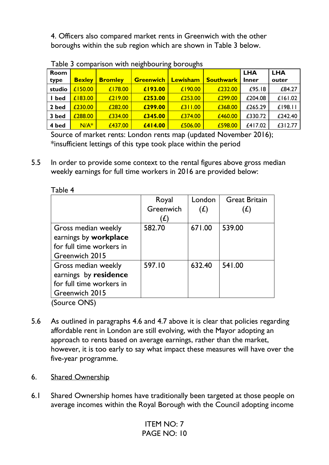4. Officers also compared market rents in Greenwich with the other boroughs within the sub region which are shown in Table 3 below.

|        |               |                |                  | ້        |                  |              |            |
|--------|---------------|----------------|------------------|----------|------------------|--------------|------------|
| Room   |               |                |                  |          |                  | <b>LHA</b>   | <b>LHA</b> |
| type   | <b>Bexley</b> | <b>Bromley</b> | <b>Greenwich</b> | Lewisham | <b>Southwark</b> | <b>Inner</b> | outer      |
| studio | £150.00       | £178.00        | £193.00          | £190.00  | £232.00          | £95.18       | £84.27     |
| bed    | £183.00       | £219.00        | £253.00          | £253.00  | £299.00          | £204.08      | £161.02    |
| 2 bed  | £230.00       | £282.00        | £299.00          | £311.00  | £368.00          | £265.29      | $£$  98.   |
| 3 bed  | £288.00       | £334.00        | £345.00          | £374.00  | £460.00          | £330.72      | £242.40    |
| 4 bed  | $N/A^*$       | £437.00        | £414.00          | £506.00  | £598.00          | £417.02      | £312.77    |

Table 3 comparison with neighbouring boroughs

Source of market rents: London rents map (updated November 2016); \*insufficient lettings of this type took place within the period

5.5 In order to provide some context to the rental figures above gross median weekly earnings for full time workers in 2016 are provided below:

|                          | Royal     | London | <b>Great Britain</b> |
|--------------------------|-----------|--------|----------------------|
|                          | Greenwich | (f)    | (E)                  |
|                          | '£)       |        |                      |
| Gross median weekly      | 582.70    | 671.00 | 539.00               |
| earnings by workplace    |           |        |                      |
| for full time workers in |           |        |                      |
| Greenwich 2015           |           |        |                      |
| Gross median weekly      | 597.10    | 632.40 | 541.00               |
| earnings by residence    |           |        |                      |
| for full time workers in |           |        |                      |
| Greenwich 2015           |           |        |                      |
| (Source ONS)             |           |        |                      |

Table 4

- 5.6 As outlined in paragraphs 4.6 and 4.7 above it is clear that policies regarding affordable rent in London are still evolving, with the Mayor adopting an approach to rents based on average earnings, rather than the market, however, it is too early to say what impact these measures will have over the five-year programme.
- 6. Shared Ownership
- 6.1 Shared Ownership homes have traditionally been targeted at those people on average incomes within the Royal Borough with the Council adopting income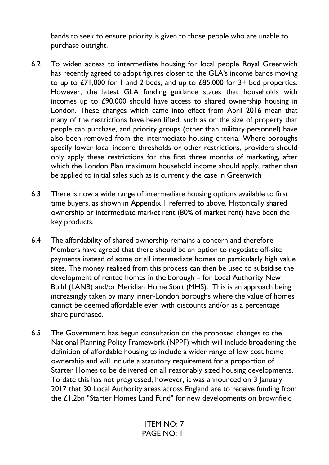bands to seek to ensure priority is given to those people who are unable to purchase outright.

- 6.2 To widen access to intermediate housing for local people Royal Greenwich has recently agreed to adopt figures closer to the GLA's income bands moving to up to £71,000 for 1 and 2 beds, and up to £85,000 for 3+ bed properties. However, the latest GLA funding guidance states that households with incomes up to £90,000 should have access to shared ownership housing in London. These changes which came into effect from April 2016 mean that many of the restrictions have been lifted, such as on the size of property that people can purchase, and priority groups (other than military personnel) have also been removed from the intermediate housing criteria. Where boroughs specify lower local income thresholds or other restrictions, providers should only apply these restrictions for the first three months of marketing, after which the London Plan maximum household income should apply, rather than be applied to initial sales such as is currently the case in Greenwich
- 6.3 There is now a wide range of intermediate housing options available to first time buyers, as shown in Appendix 1 referred to above. Historically shared ownership or intermediate market rent (80% of market rent) have been the key products.
- 6.4 The affordability of shared ownership remains a concern and therefore Members have agreed that there should be an option to negotiate off-site payments instead of some or all intermediate homes on particularly high value sites. The money realised from this process can then be used to subsidise the development of rented homes in the borough – for Local Authority New Build (LANB) and/or Meridian Home Start (MHS). This is an approach being increasingly taken by many inner-London boroughs where the value of homes cannot be deemed affordable even with discounts and/or as a percentage share purchased.
- 6.5 The Government has begun consultation on the proposed changes to the National Planning Policy Framework (NPPF) which will include broadening the definition of affordable housing to include a wider range of low cost home ownership and will include a statutory requirement for a proportion of Starter Homes to be delivered on all reasonably sized housing developments. To date this has not progressed, however, it was announced on 3 January 2017 that 30 Local Authority areas across England are to receive funding from the £1.2bn "Starter Homes Land Fund" for new developments on brownfield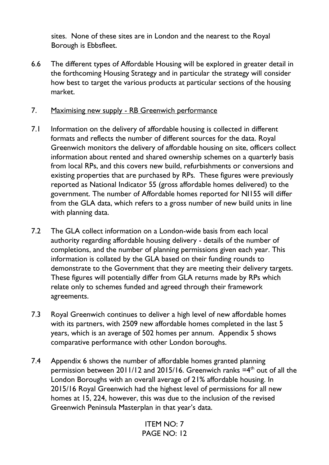sites. None of these sites are in London and the nearest to the Royal Borough is Ebbsfleet.

- 6.6 The different types of Affordable Housing will be explored in greater detail in the forthcoming Housing Strategy and in particular the strategy will consider how best to target the various products at particular sections of the housing market.
- 7. Maximising new supply RB Greenwich performance
- 7.1 Information on the delivery of affordable housing is collected in different formats and reflects the number of different sources for the data. Royal Greenwich monitors the delivery of affordable housing on site, officers collect information about rented and shared ownership schemes on a quarterly basis from local RPs, and this covers new build, refurbishments or conversions and existing properties that are purchased by RPs. These figures were previously reported as National Indicator 55 (gross affordable homes delivered) to the government. The number of Affordable homes reported for NI155 will differ from the GLA data, which refers to a gross number of new build units in line with planning data.
- 7.2 The GLA collect information on a London-wide basis from each local authority regarding affordable housing delivery - details of the number of completions, and the number of planning permissions given each year. This information is collated by the GLA based on their funding rounds to demonstrate to the Government that they are meeting their delivery targets. These figures will potentially differ from GLA returns made by RPs which relate only to schemes funded and agreed through their framework agreements.
- 7.3 Royal Greenwich continues to deliver a high level of new affordable homes with its partners, with 2509 new affordable homes completed in the last 5 years, which is an average of 502 homes per annum. Appendix 5 shows comparative performance with other London boroughs.
- 7.4 Appendix 6 shows the number of affordable homes granted planning permission between 2011/12 and 2015/16. Greenwich ranks  $=4<sup>th</sup>$  out of all the London Boroughs with an overall average of 21% affordable housing. In 2015/16 Royal Greenwich had the highest level of permissions for all new homes at 15, 224, however, this was due to the inclusion of the revised Greenwich Peninsula Masterplan in that year's data.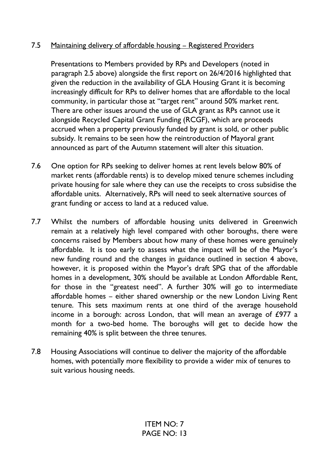# 7.5 Maintaining delivery of affordable housing – Registered Providers

Presentations to Members provided by RPs and Developers (noted in paragraph 2.5 above) alongside the first report on 26/4/2016 highlighted that given the reduction in the availability of GLA Housing Grant it is becoming increasingly difficult for RPs to deliver homes that are affordable to the local community, in particular those at "target rent" around 50% market rent. There are other issues around the use of GLA grant as RPs cannot use it alongside Recycled Capital Grant Funding (RCGF), which are proceeds accrued when a property previously funded by grant is sold, or other public subsidy. It remains to be seen how the reintroduction of Mayoral grant announced as part of the Autumn statement will alter this situation.

- 7.6 One option for RPs seeking to deliver homes at rent levels below 80% of market rents (affordable rents) is to develop mixed tenure schemes including private housing for sale where they can use the receipts to cross subsidise the affordable units. Alternatively, RPs will need to seek alternative sources of grant funding or access to land at a reduced value.
- 7.7 Whilst the numbers of affordable housing units delivered in Greenwich remain at a relatively high level compared with other boroughs, there were concerns raised by Members about how many of these homes were genuinely affordable. It is too early to assess what the impact will be of the Mayor's new funding round and the changes in guidance outlined in section 4 above, however, it is proposed within the Mayor's draft SPG that of the affordable homes in a development, 30% should be available at London Affordable Rent, for those in the "greatest need". A further 30% will go to intermediate affordable homes – either shared ownership or the new London Living Rent tenure. This sets maximum rents at one third of the average household income in a borough: across London, that will mean an average of £977 a month for a two-bed home. The boroughs will get to decide how the remaining 40% is split between the three tenures.
- 7.8 Housing Associations will continue to deliver the majority of the affordable homes, with potentially more flexibility to provide a wider mix of tenures to suit various housing needs.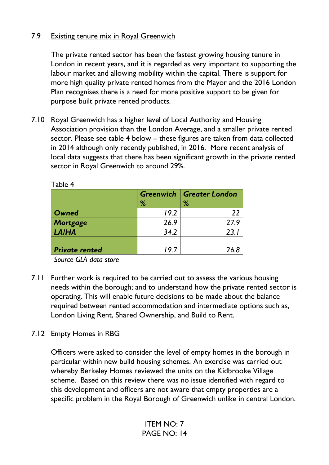## 7.9 Existing tenure mix in Royal Greenwich

The private rented sector has been the fastest growing housing tenure in London in recent years, and it is regarded as very important to supporting the labour market and allowing mobility within the capital. There is support for more high quality private rented homes from the Mayor and the 2016 London Plan recognises there is a need for more positive support to be given for purpose built private rented products.

7.10 Royal Greenwich has a higher level of Local Authority and Housing Association provision than the London Average, and a smaller private rented sector. Please see table 4 below – these figures are taken from data collected in 2014 although only recently published, in 2016. More recent analysis of local data suggests that there has been significant growth in the private rented sector in Royal Greenwich to around 29%.

|                       | ℅    | <b>Greenwich   Greater London</b><br>% |
|-----------------------|------|----------------------------------------|
| Owned                 | 19.2 | 22                                     |
| Mortgage              | 26.9 | 27.9                                   |
| <b>LA/HA</b>          | 34.2 | 23.                                    |
| <b>Private rented</b> | 9.7  | 26 R                                   |
|                       |      |                                        |

Table 4

*Source GLA data store* 

7.11 Further work is required to be carried out to assess the various housing needs within the borough; and to understand how the private rented sector is operating. This will enable future decisions to be made about the balance required between rented accommodation and intermediate options such as, London Living Rent, Shared Ownership, and Build to Rent.

## 7.12 Empty Homes in RBG

Officers were asked to consider the level of empty homes in the borough in particular within new build housing schemes. An exercise was carried out whereby Berkeley Homes reviewed the units on the Kidbrooke Village scheme. Based on this review there was no issue identified with regard to this development and officers are not aware that empty properties are a specific problem in the Royal Borough of Greenwich unlike in central London.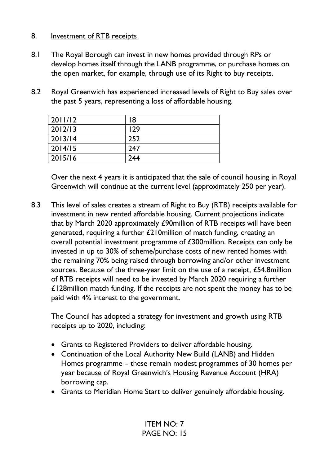## 8. Investment of RTB receipts

- 8.1 The Royal Borough can invest in new homes provided through RPs or develop homes itself through the LANB programme, or purchase homes on the open market, for example, through use of its Right to buy receipts.
- 8.2 Royal Greenwich has experienced increased levels of Right to Buy sales over the past 5 years, representing a loss of affordable housing.

| 2011/12 | 18  |
|---------|-----|
| 2012/13 | 129 |
| 2013/14 | 252 |
| 2014/15 | 247 |
| 2015/16 | 244 |

Over the next 4 years it is anticipated that the sale of council housing in Royal Greenwich will continue at the current level (approximately 250 per year).

8.3 This level of sales creates a stream of Right to Buy (RTB) receipts available for investment in new rented affordable housing. Current projections indicate that by March 2020 approximately £90million of RTB receipts will have been generated, requiring a further £210million of match funding, creating an overall potential investment programme of £300million. Receipts can only be invested in up to 30% of scheme/purchase costs of new rented homes with the remaining 70% being raised through borrowing and/or other investment sources. Because of the three-year limit on the use of a receipt, £54.8million of RTB receipts will need to be invested by March 2020 requiring a further £128million match funding. If the receipts are not spent the money has to be paid with 4% interest to the government.

The Council has adopted a strategy for investment and growth using RTB receipts up to 2020, including:

- Grants to Registered Providers to deliver affordable housing.
- Continuation of the Local Authority New Build (LANB) and Hidden Homes programme – these remain modest programmes of 30 homes per year because of Royal Greenwich's Housing Revenue Account (HRA) borrowing cap.
- Grants to Meridian Home Start to deliver genuinely affordable housing.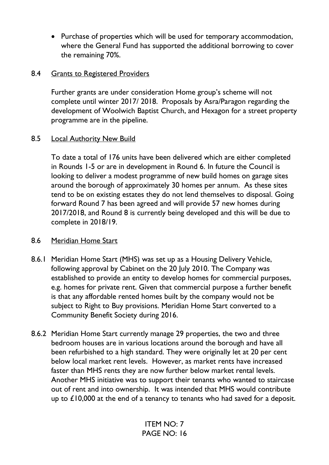• Purchase of properties which will be used for temporary accommodation, where the General Fund has supported the additional borrowing to cover the remaining 70%.

## 8.4 Grants to Registered Providers

Further grants are under consideration Home group's scheme will not complete until winter 2017/ 2018. Proposals by Asra/Paragon regarding the development of Woolwich Baptist Church, and Hexagon for a street property programme are in the pipeline.

# 8.5 Local Authority New Build

To date a total of 176 units have been delivered which are either completed in Rounds 1-5 or are in development in Round 6. In future the Council is looking to deliver a modest programme of new build homes on garage sites around the borough of approximately 30 homes per annum. As these sites tend to be on existing estates they do not lend themselves to disposal. Going forward Round 7 has been agreed and will provide 57 new homes during 2017/2018, and Round 8 is currently being developed and this will be due to complete in 2018/19.

## 8.6 Meridian Home Start

- 8.6.1 Meridian Home Start (MHS) was set up as a Housing Delivery Vehicle, following approval by Cabinet on the 20 July 2010. The Company was established to provide an entity to develop homes for commercial purposes, e.g. homes for private rent. Given that commercial purpose a further benefit is that any affordable rented homes built by the company would not be subject to Right to Buy provisions. Meridian Home Start converted to a Community Benefit Society during 2016.
- 8.6.2 Meridian Home Start currently manage 29 properties, the two and three bedroom houses are in various locations around the borough and have all been refurbished to a high standard. They were originally let at 20 per cent below local market rent levels. However, as market rents have increased faster than MHS rents they are now further below market rental levels. Another MHS initiative was to support their tenants who wanted to staircase out of rent and into ownership. It was intended that MHS would contribute up to  $£10,000$  at the end of a tenancy to tenants who had saved for a deposit.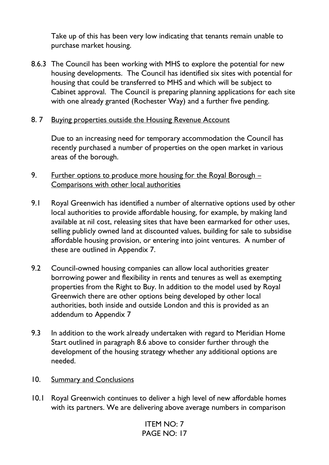Take up of this has been very low indicating that tenants remain unable to purchase market housing.

- 8.6.3 The Council has been working with MHS to explore the potential for new housing developments. The Council has identified six sites with potential for housing that could be transferred to MHS and which will be subject to Cabinet approval. The Council is preparing planning applications for each site with one already granted (Rochester Way) and a further five pending.
- 8. 7 Buying properties outside the Housing Revenue Account

Due to an increasing need for temporary accommodation the Council has recently purchased a number of properties on the open market in various areas of the borough.

- 9. Further options to produce more housing for the Royal Borough  $-$ Comparisons with other local authorities
- 9.1 Royal Greenwich has identified a number of alternative options used by other local authorities to provide affordable housing, for example, by making land available at nil cost, releasing sites that have been earmarked for other uses, selling publicly owned land at discounted values, building for sale to subsidise affordable housing provision, or entering into joint ventures. A number of these are outlined in Appendix 7.
- 9.2 Council-owned housing companies can allow local authorities greater borrowing power and flexibility in rents and tenures as well as exempting properties from the Right to Buy. In addition to the model used by Royal Greenwich there are other options being developed by other local authorities, both inside and outside London and this is provided as an addendum to Appendix 7
- 9.3 In addition to the work already undertaken with regard to Meridian Home Start outlined in paragraph 8.6 above to consider further through the development of the housing strategy whether any additional options are needed.
- 10. Summary and Conclusions
- 10.1 Royal Greenwich continues to deliver a high level of new affordable homes with its partners. We are delivering above average numbers in comparison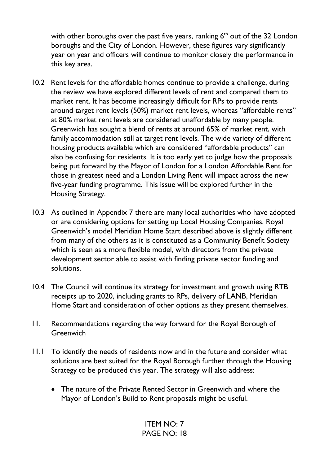with other boroughs over the past five years, ranking  $6<sup>th</sup>$  out of the 32 London boroughs and the City of London. However, these figures vary significantly year on year and officers will continue to monitor closely the performance in this key area.

- 10.2 Rent levels for the affordable homes continue to provide a challenge, during the review we have explored different levels of rent and compared them to market rent. It has become increasingly difficult for RPs to provide rents around target rent levels (50%) market rent levels, whereas "affordable rents" at 80% market rent levels are considered unaffordable by many people. Greenwich has sought a blend of rents at around 65% of market rent, with family accommodation still at target rent levels. The wide variety of different housing products available which are considered "affordable products" can also be confusing for residents. It is too early yet to judge how the proposals being put forward by the Mayor of London for a London Affordable Rent for those in greatest need and a London Living Rent will impact across the new five-year funding programme. This issue will be explored further in the Housing Strategy.
- 10.3 As outlined in Appendix 7 there are many local authorities who have adopted or are considering options for setting up Local Housing Companies. Royal Greenwich's model Meridian Home Start described above is slightly different from many of the others as it is constituted as a Community Benefit Society which is seen as a more flexible model, with directors from the private development sector able to assist with finding private sector funding and solutions.
- 10.4 The Council will continue its strategy for investment and growth using RTB receipts up to 2020, including grants to RPs, delivery of LANB, Meridian Home Start and consideration of other options as they present themselves.
- 11. Recommendations regarding the way forward for the Royal Borough of Greenwich
- 11.1 To identify the needs of residents now and in the future and consider what solutions are best suited for the Royal Borough further through the Housing Strategy to be produced this year. The strategy will also address:
	- The nature of the Private Rented Sector in Greenwich and where the Mayor of London's Build to Rent proposals might be useful.